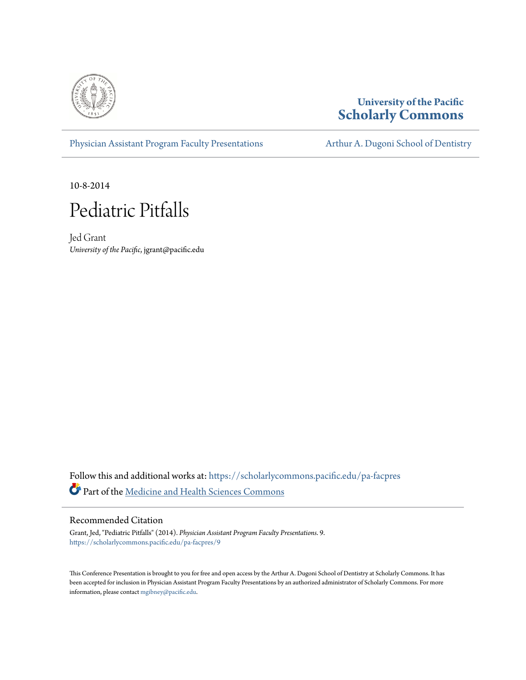

#### **University of the Pacific [Scholarly Commons](https://scholarlycommons.pacific.edu?utm_source=scholarlycommons.pacific.edu%2Fpa-facpres%2F9&utm_medium=PDF&utm_campaign=PDFCoverPages)**

[Physician Assistant Program Faculty Presentations](https://scholarlycommons.pacific.edu/pa-facpres?utm_source=scholarlycommons.pacific.edu%2Fpa-facpres%2F9&utm_medium=PDF&utm_campaign=PDFCoverPages) [Arthur A. Dugoni School of Dentistry](https://scholarlycommons.pacific.edu/dugoni?utm_source=scholarlycommons.pacific.edu%2Fpa-facpres%2F9&utm_medium=PDF&utm_campaign=PDFCoverPages)

10-8-2014



Jed Grant *University of the Pacific*, jgrant@pacific.edu

 ${\bf Follow~ this~ and~ additional~ works~ at:~ https://scholarlycommons.pacific.edu/pa-facpres$  ${\bf Follow~ this~ and~ additional~ works~ at:~ https://scholarlycommons.pacific.edu/pa-facpres$ Part of the [Medicine and Health Sciences Commons](http://network.bepress.com/hgg/discipline/648?utm_source=scholarlycommons.pacific.edu%2Fpa-facpres%2F9&utm_medium=PDF&utm_campaign=PDFCoverPages)

#### Recommended Citation

Grant, Jed, "Pediatric Pitfalls" (2014). *Physician Assistant Program Faculty Presentations*. 9. [https://scholarlycommons.pacific.edu/pa-facpres/9](https://scholarlycommons.pacific.edu/pa-facpres/9?utm_source=scholarlycommons.pacific.edu%2Fpa-facpres%2F9&utm_medium=PDF&utm_campaign=PDFCoverPages)

This Conference Presentation is brought to you for free and open access by the Arthur A. Dugoni School of Dentistry at Scholarly Commons. It has been accepted for inclusion in Physician Assistant Program Faculty Presentations by an authorized administrator of Scholarly Commons. For more information, please contact [mgibney@pacific.edu.](mailto:mgibney@pacific.edu)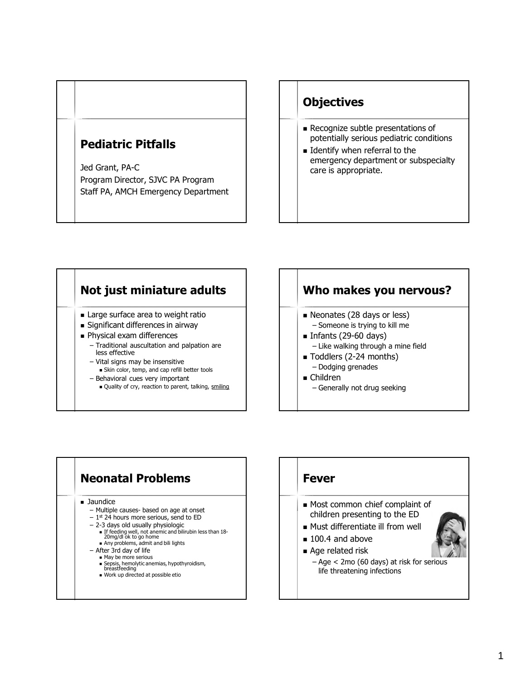### **Pediatric Pitfalls**

Jed Grant, PA-C Program Director, SJVC PA Program Staff PA, AMCH Emergency Department

### **Objectives**

- Recognize subtle presentations of potentially serious pediatric conditions
- **Identify when referral to the** emergency department or subspecialty care is appropriate.

#### **Not just miniature adults Large surface area to weight ratio**  Significant differences in airway **Physical exam differences** – Traditional auscultation and palpation are less effective – Vital signs may be insensitive Skin color, temp, and cap refill better tools – Behavioral cues very important

Quality of cry, reaction to parent, talking, smiling

### **Who makes you nervous?**

- Neonates (28 days or less) – Someone is trying to kill me
- Infants  $(29-60 \text{ days})$ – Like walking through a mine field
- Toddlers (2-24 months) – Dodging grenades
- Children
	- Generally not drug seeking

# **Neonatal Problems**

**Jaundice** 

- Multiple causes- based on age at onset
- $-1$ <sup>st</sup> 24 hours more serious, send to ED
- 2-3 days old usually physiologic
	- If feeding well, not anemic and bilirubin less than 18- 20mg/dl ok to go home
		- Any problems, admit and bili lights
- After 3rd day of life
	- May be more serious
	- Sepsis, hemolytic anemias, hypothyroidism, breastfeeding
	- Work up directed at possible etio

# **Fever**

- Most common chief complaint of children presenting to the ED
- Must differentiate ill from well
- 100.4 and above
- Age related risk
	- Age < 2mo (60 days) at risk for serious life threatening infections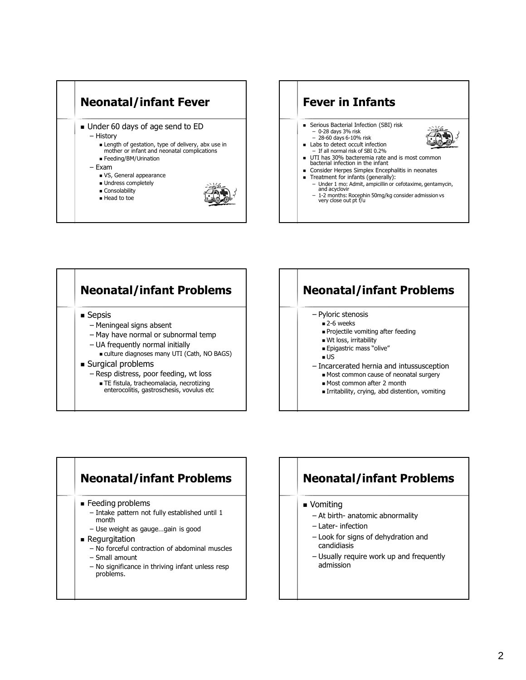





# **Neonatal/infant Problems**

- Pyloric stenosis
	- 2-6 weeks
	- **Projectile vomiting after feeding**
	- Wt loss, irritability **Epigastric mass "olive"** 
		-
	- $\blacksquare$
- Incarcerated hernia and intussusception
	- Most common cause of neonatal surgery
	- Most common after 2 month
	- Irritability, crying, abd distention, vomiting

# **Neonatal/infant Problems**

- **Feeding problems** 
	- Intake pattern not fully established until 1 month
	- Use weight as gauge…gain is good
- **Regurgitation** 
	- No forceful contraction of abdominal muscles
	- Small amount
	- No significance in thriving infant unless resp problems.

### **Neonatal/infant Problems**

- **v** Vomiting
	- At birth- anatomic abnormality
	- Later- infection
	- Look for signs of dehydration and candidiasis
	- Usually require work up and frequently admission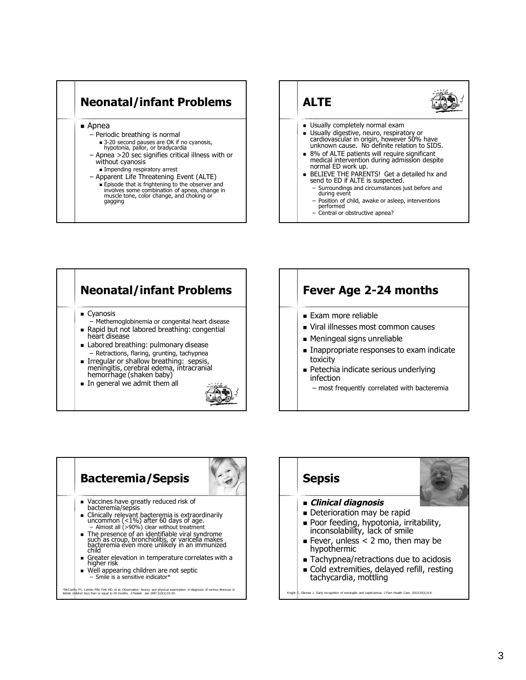



#### **Neonatal/infant Problems Cyanosis** – Methemoglobinemia or congenital heart disease Rapid but not labored breathing: congential heart disease **Labored breathing: pulmonary disease** – Retractions, flaring, grunting, tachypnea **Irregular or shallow breathing: sepsis,** meningitis, cerebral edema, intracranial hemorrhage (shaken baby) In general we admit them all

#### **Fever Age 2-24 months**

- **Exam more reliable**
- Viral illnesses most common causes
- Meningeal signs unreliable
- Inappropriate responses to exam indicate toxicity
- **Petechia indicate serious underlying** infection
	- most frequently correlated with bacteremia





.<br>Kinght Care. 2010;20(1):6-8. Glenningitis and septicaemia. *J Fam Health Care.* 2010;20(1):6-8.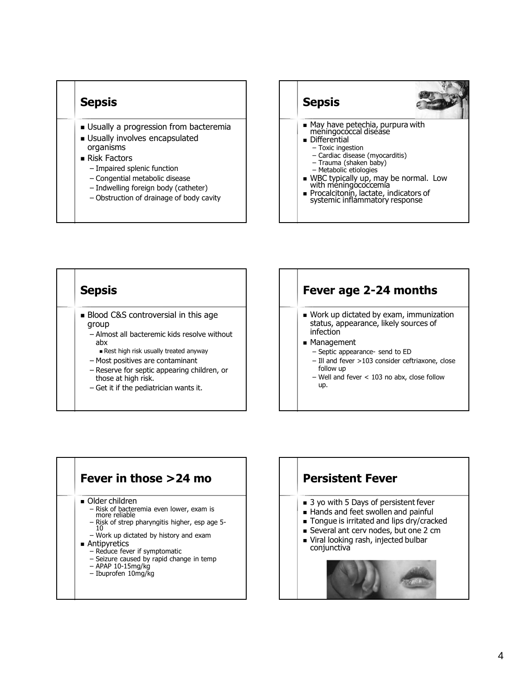#### **Sepsis**

- **Usually a progression from bacteremia**
- **Usually involves encapsulated** organisms
- Risk Factors
	- Impaired splenic function
	- Congential metabolic disease
	- Indwelling foreign body (catheter)
	- Obstruction of drainage of body cavity





#### **Fever age 2-24 months**

- Work up dictated by exam, immunization status, appearance, likely sources of infection
- **Management** 
	- Septic appearance- send to ED
	- Ill and fever >103 consider ceftriaxone, close follow up
	- Well and fever < 103 no abx, close follow up.



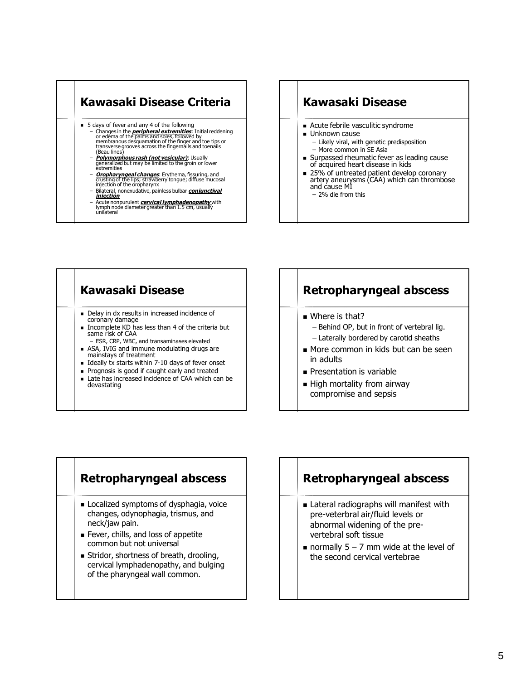





### **Retropharyngeal abscess**

- Where is that?
	- Behind OP, but in front of vertebral lig.
	- Laterally bordered by carotid sheaths
- More common in kids but can be seen in adults
- **Presentation is variable**
- **High mortality from airway** compromise and sepsis

#### **Retropharyngeal abscess**

- Localized symptoms of dysphagia, voice changes, odynophagia, trismus, and neck/jaw pain.
- Fever, chills, and loss of appetite common but not universal
- Stridor, shortness of breath, drooling, cervical lymphadenopathy, and bulging of the pharyngeal wall common.

#### **Retropharyngeal abscess**

- **Lateral radiographs will manifest with** pre-veterbral air/fluid levels or abnormal widening of the prevertebral soft tissue
- normally  $5 7$  mm wide at the level of the second cervical vertebrae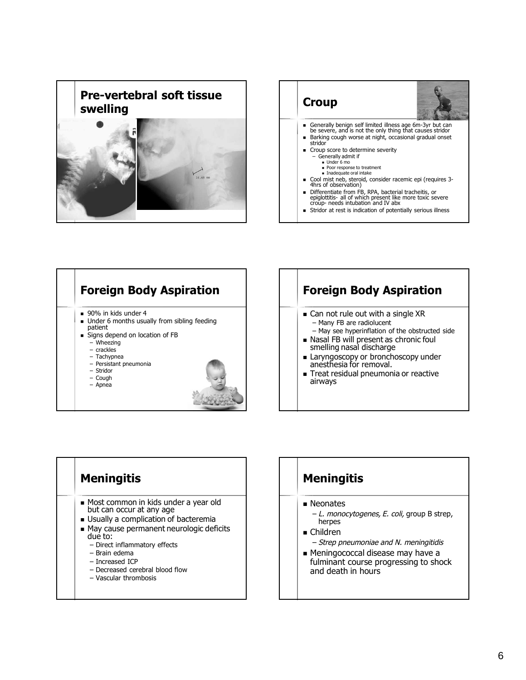







# **Meningitis**

#### **Neonates**

- L. monocytogenes, E. coli, group B strep, herpes
- Children
	- Strep pneumoniae and N. meningitidis
- Meningococcal disease may have a fulminant course progressing to shock and death in hours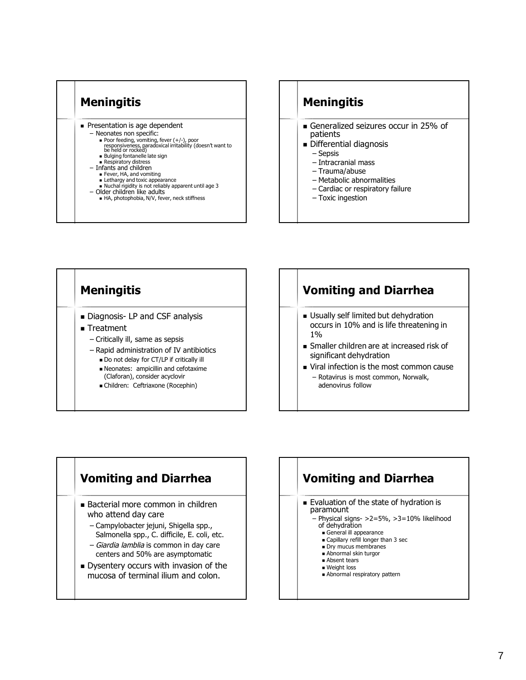

### **Meningitis**

- Generalized seizures occur in 25% of patients
- **Differential diagnosis** 
	- Sepsis
	- Intracranial mass
	- Trauma/abuse
	- Metabolic abnormalities
	- Cardiac or respiratory failure
	- Toxic ingestion



# **Vomiting and Diarrhea**

- Bacterial more common in children who attend day care
	- Campylobacter jejuni, Shigella spp., Salmonella spp., C. difficile, E. coli, etc.
	- Giardia lamblia is common in day care centers and 50% are asymptomatic
- Dysentery occurs with invasion of the mucosa of terminal ilium and colon.

# **Vomiting and Diarrhea**

- **Evaluation of the state of hydration is** paramount
	- Physical signs- >2=5%, >3=10% likelihood of dehydration
		- General ill appearance
		- **Exercise Capillary refill longer than 3 sec**
		- Dry mucus membranes ■ Abnormal skin turgor
		-
		- **Absent tears** ■ Weight loss
		- **Abnormal respiratory pattern**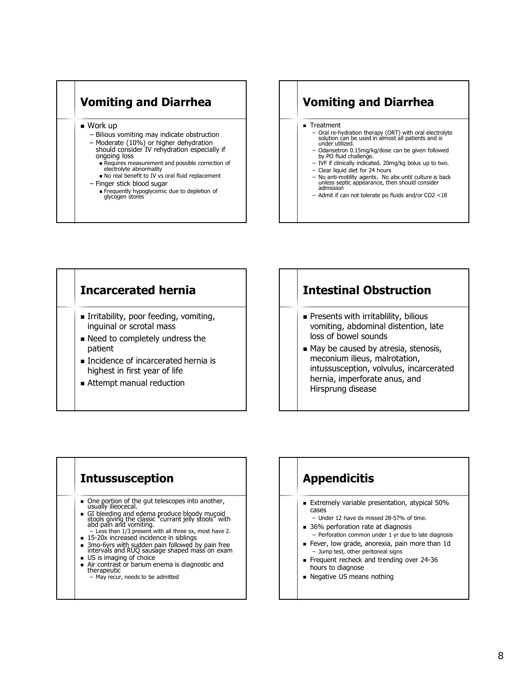# **Vomiting and Diarrhea**

■ Work up

- Bilious vomiting may indicate obstruction
- Moderate (10%) or higher dehydration should consider IV rehydration especially if ongoing loss
	- Requires measurement and possible correction of electrolyte abnormality
	- $\blacksquare$  No real benefit to IV vs oral fluid replacement

#### – Finger stick blood sugar

 Frequently hypoglycemic due to depletion of glycogen stores

### **Vomiting and Diarrhea**

- Treatment
	- Oral re-hydration therapy (ORT) with oral electrolyte solution can be used in almost all patients and is under utilized.
	- Odansetron 0.15mg/kg/dose can be given followed by PO fluid challenge.
	- IVF if clinically indicated. 20mg/kg bolus up to two. – Clear liquid diet for 24 hours
	- No anti-motility agents. No abx until culture is back unless septic appẽarance, then should consider<br>admission
	- Admit if can not tolerate po fluids and/or CO2 <18

#### **Incarcerated hernia**

- Irritability, poor feeding, vomiting, inguinal or scrotal mass
- Need to completely undress the patient
- **Incidence of incarcerated hernia is** highest in first year of life
- **Attempt manual reduction**

### **Intestinal Obstruction**

- **Presents with irritablility, bilious** vomiting, abdominal distention, late loss of bowel sounds
- May be caused by atresia, stenosis, meconium ilieus, malrotation, intussusception, volvulus, incarcerated hernia, imperforate anus, and Hirsprung disease

#### **Intussusception**

- One portion of the gut telescopes into another, usually ilieocecal.
- GI bleeding and edema produce bloody mucoid stools giving the classic "currant jelly stools" with abd pain and vomiting. Less than 1/3 present with all three sx, most have 2.
- 15-20x increased incidence in siblings
- 3mo-6yrs with sudden pain followed by pain free intervals and RUQ sausage shaped mass on exam
- US is imaging of choice
- Air contrast or barium enema is diagnostic and therapeutic

#### – May recur, needs to be admitted

### **Appendicitis**

- **Extremely variable presentation, atypical 50%** cases
	- Under 12 have dx missed 28-57% of time.
- 36% perforation rate at diagnosis
- Perforation common under 1 yr due to late diagnosis
- Fever, low grade, anorexia, pain more than 1d – Jump test, other peritoneal signs
- Frequent recheck and trending over 24-36 hours to diagnose
- **Negative US means nothing**